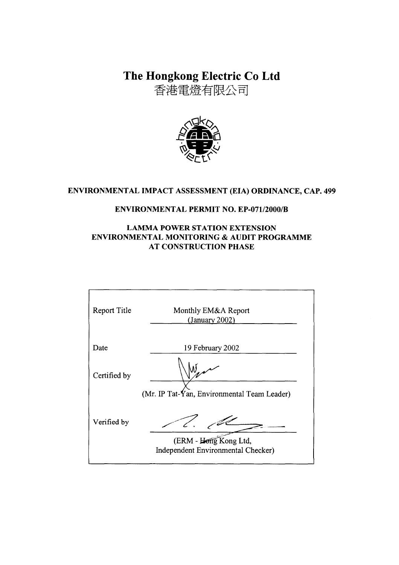The Hongkong Electric Co Ltd

香港電燈有限公司



# ENVIRONMENTAL IMPACT ASSESSMENT (EIA) ORDINANCE, CAP. 499

#### **ENVIRONMENTAL PERMIT NO. EP-071/2000/B**

#### **LAMMA POWER STATION EXTENSION** ENVIRONMENTAL MONITORING & AUDIT PROGRAMME **AT CONSTRUCTION PHASE**

| Report Title | Monthly EM&A Report<br>(January 2002)                       |
|--------------|-------------------------------------------------------------|
| Date         | 19 February 2002                                            |
| Certified by | (Mr. IP Tat-Yan, Environmental Team Leader)                 |
| Verified by  | (ERM - Hong Kong Ltd,<br>Independent Environmental Checker) |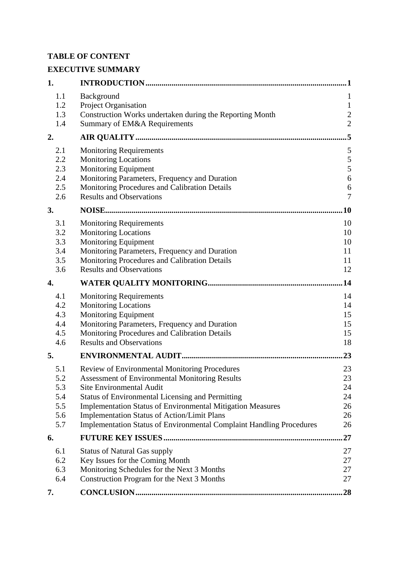## **TABLE OF CONTENT**

# **EXECUTIVE SUMMARY**

| 1.  |                                                                             | 1              |
|-----|-----------------------------------------------------------------------------|----------------|
| 1.1 | Background                                                                  | $\mathbf{1}$   |
| 1.2 | Project Organisation                                                        | $\mathbf{1}$   |
| 1.3 | Construction Works undertaken during the Reporting Month                    | $\overline{c}$ |
| 1.4 | Summary of EM&A Requirements                                                | $\overline{2}$ |
| 2.  |                                                                             | .5             |
| 2.1 | <b>Monitoring Requirements</b>                                              | 5              |
| 2.2 | <b>Monitoring Locations</b>                                                 | $\sqrt{5}$     |
| 2.3 | Monitoring Equipment                                                        | 5              |
| 2.4 | Monitoring Parameters, Frequency and Duration                               | 6              |
| 2.5 | Monitoring Procedures and Calibration Details                               | 6              |
| 2.6 | <b>Results and Observations</b>                                             | $\overline{7}$ |
| 3.  |                                                                             | 10             |
| 3.1 | <b>Monitoring Requirements</b>                                              | 10             |
| 3.2 | <b>Monitoring Locations</b>                                                 | 10             |
| 3.3 | Monitoring Equipment                                                        | 10             |
| 3.4 | Monitoring Parameters, Frequency and Duration                               | 11             |
| 3.5 | Monitoring Procedures and Calibration Details                               | 11             |
| 3.6 | <b>Results and Observations</b>                                             | 12             |
| 4.  |                                                                             | .14            |
| 4.1 | <b>Monitoring Requirements</b>                                              | 14             |
| 4.2 | <b>Monitoring Locations</b>                                                 | 14             |
| 4.3 | <b>Monitoring Equipment</b>                                                 | 15             |
| 4.4 | Monitoring Parameters, Frequency and Duration                               | 15             |
| 4.5 | Monitoring Procedures and Calibration Details                               | 15             |
| 4.6 | <b>Results and Observations</b>                                             | 18             |
| 5.  |                                                                             | 23             |
| 5.1 | Review of Environmental Monitoring Procedures                               | 23             |
| 5.2 | <b>Assessment of Environmental Monitoring Results</b>                       | 23             |
| 5.3 | <b>Site Environmental Audit</b>                                             | 24             |
| 5.4 | <b>Status of Environmental Licensing and Permitting</b>                     | 24             |
| 5.5 | <b>Implementation Status of Environmental Mitigation Measures</b>           | 26             |
| 5.6 | <b>Implementation Status of Action/Limit Plans</b>                          | 26             |
| 5.7 | <b>Implementation Status of Environmental Complaint Handling Procedures</b> | 26             |
| 6.  |                                                                             | 27             |
| 6.1 | <b>Status of Natural Gas supply</b>                                         | 27             |
| 6.2 | Key Issues for the Coming Month                                             | 27             |
| 6.3 | Monitoring Schedules for the Next 3 Months                                  | 27             |
| 6.4 | Construction Program for the Next 3 Months                                  | 27             |
| 7.  |                                                                             | 28             |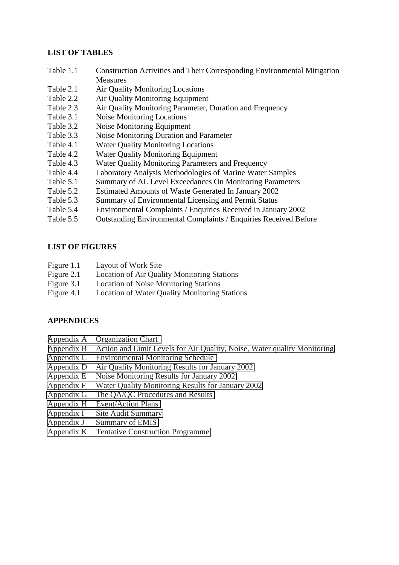#### **LIST OF TABLES**

- Table 1.1 Construction Activities and Their Corresponding Environmental Mitigation **Measures**
- Table 2.1 Air Quality Monitoring Locations
- Table 2.2 Air Quality Monitoring Equipment
- Table 2.3 Air Quality Monitoring Parameter, Duration and Frequency
- Table 3.1 Noise Monitoring Locations
- Table 3.2 Noise Monitoring Equipment
- Table 3.3 Noise Monitoring Duration and Parameter
- Table 4.1 Water Quality Monitoring Locations
- Table 4.2 Water Quality Monitoring Equipment
- Table 4.3 Water Quality Monitoring Parameters and Frequency
- Table 4.4 Laboratory Analysis Methodologies of Marine Water Samples
- Table 5.1 Summary of AL Level Exceedances On Monitoring Parameters
- Table 5.2 Estimated Amounts of Waste Generated In January 2002
- Table 5.3 Summary of Environmental Licensing and Permit Status
- Table 5.4 Environmental Complaints / Enquiries Received in January 2002
- Table 5.5 Outstanding Environmental Complaints / Enquiries Received Before

#### **LIST OF FIGURES**

- Figure 1.1 Layout of Work Site
- Figure 2.1 Location of Air Quality Monitoring Stations
- Figure 3.1 Location of Noise Monitoring Stations
- Figure 4.1 Location of Water Quality Monitoring Stations

#### **APPENDICES**

- Appendix A Organization Chart
- Appendix B Action and Limit Levels for Air Quality, Noise, Water quality Monitoring
- Appendix C Environmental Monitoring Schedule
- Appendix D Air Quality Monitoring Results for January 2002
- Appendix E Noise Monitoring Results for January 2002
- Appendix F Water Quality Monitoring Results for January 2002
- Appendix G The QA/QC Procedures and Results
- Appendix H Event/Action Plans
- Appendix I Site Audit Summary
- Appendix J Summary of EMIS
- Appendix K Tentative Construction Programme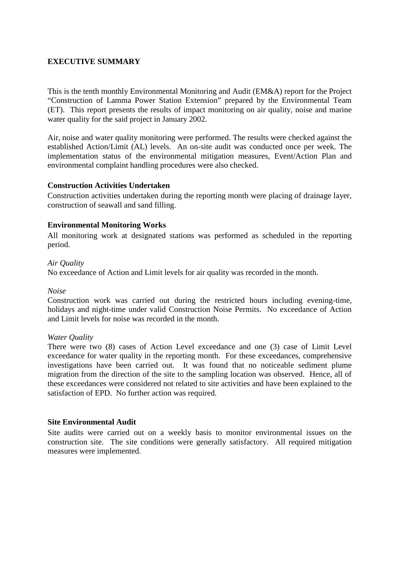#### **EXECUTIVE SUMMARY**

This is the tenth monthly Environmental Monitoring and Audit (EM&A) report for the Project "Construction of Lamma Power Station Extension" prepared by the Environmental Team (ET). This report presents the results of impact monitoring on air quality, noise and marine water quality for the said project in January 2002.

Air, noise and water quality monitoring were performed. The results were checked against the established Action/Limit (AL) levels. An on-site audit was conducted once per week. The implementation status of the environmental mitigation measures, Event/Action Plan and environmental complaint handling procedures were also checked.

#### **Construction Activities Undertaken**

Construction activities undertaken during the reporting month were placing of drainage layer, construction of seawall and sand filling.

#### **Environmental Monitoring Works**

All monitoring work at designated stations was performed as scheduled in the reporting period.

#### *Air Quality*

No exceedance of Action and Limit levels for air quality was recorded in the month.

#### *Noise*

Construction work was carried out during the restricted hours including evening-time, holidays and night-time under valid Construction Noise Permits. No exceedance of Action and Limit levels for noise was recorded in the month.

#### *Water Quality*

There were two (8) cases of Action Level exceedance and one (3) case of Limit Level exceedance for water quality in the reporting month. For these exceedances, comprehensive investigations have been carried out. It was found that no noticeable sediment plume migration from the direction of the site to the sampling location was observed. Hence, all of these exceedances were considered not related to site activities and have been explained to the satisfaction of EPD. No further action was required.

#### **Site Environmental Audit**

Site audits were carried out on a weekly basis to monitor environmental issues on the construction site. The site conditions were generally satisfactory. All required mitigation measures were implemented.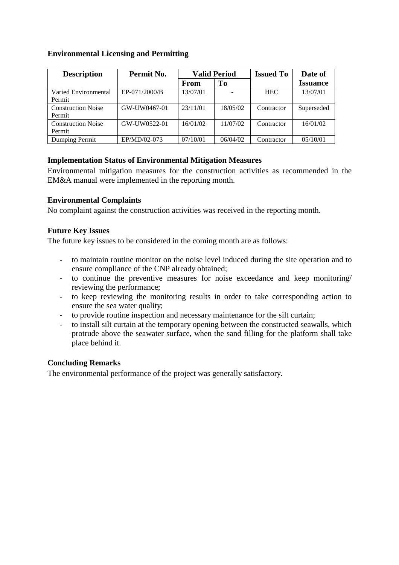### **Environmental Licensing and Permitting**

| <b>Description</b>        | Permit No.    | <b>Valid Period</b> |          | <b>Issued To</b> | Date of         |
|---------------------------|---------------|---------------------|----------|------------------|-----------------|
|                           |               | From                | To       |                  | <b>Issuance</b> |
| Varied Environmental      | EP-071/2000/B | 13/07/01            |          | <b>HEC</b>       | 13/07/01        |
| Permit                    |               |                     |          |                  |                 |
| <b>Construction Noise</b> | GW-UW0467-01  | 23/11/01            | 18/05/02 | Contractor       | Superseded      |
| Permit                    |               |                     |          |                  |                 |
| <b>Construction Noise</b> | GW-UW0522-01  | 16/01/02            | 11/07/02 | Contractor       | 16/01/02        |
| Permit                    |               |                     |          |                  |                 |
| Dumping Permit            | EP/MD/02-073  | 07/10/01            | 06/04/02 | Contractor       | 05/10/01        |

### **Implementation Status of Environmental Mitigation Measures**

Environmental mitigation measures for the construction activities as recommended in the EM&A manual were implemented in the reporting month.

### **Environmental Complaints**

No complaint against the construction activities was received in the reporting month.

### **Future Key Issues**

The future key issues to be considered in the coming month are as follows:

- to maintain routine monitor on the noise level induced during the site operation and to ensure compliance of the CNP already obtained;
- to continue the preventive measures for noise exceedance and keep monitoring/ reviewing the performance;
- to keep reviewing the monitoring results in order to take corresponding action to ensure the sea water quality;
- to provide routine inspection and necessary maintenance for the silt curtain;
- to install silt curtain at the temporary opening between the constructed seawalls, which protrude above the seawater surface, when the sand filling for the platform shall take place behind it.

#### **Concluding Remarks**

The environmental performance of the project was generally satisfactory.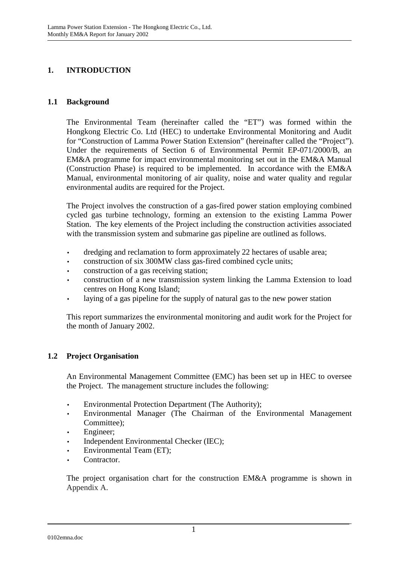# **1. INTRODUCTION**

#### **1.1 Background**

The Environmental Team (hereinafter called the "ET") was formed within the Hongkong Electric Co. Ltd (HEC) to undertake Environmental Monitoring and Audit for "Construction of Lamma Power Station Extension" (hereinafter called the "Project"). Under the requirements of Section 6 of Environmental Permit EP-071/2000/B, an EM&A programme for impact environmental monitoring set out in the EM&A Manual (Construction Phase) is required to be implemented. In accordance with the EM&A Manual, environmental monitoring of air quality, noise and water quality and regular environmental audits are required for the Project.

The Project involves the construction of a gas-fired power station employing combined cycled gas turbine technology, forming an extension to the existing Lamma Power Station. The key elements of the Project including the construction activities associated with the transmission system and submarine gas pipeline are outlined as follows.

- dredging and reclamation to form approximately 22 hectares of usable area;
- construction of six 300MW class gas-fired combined cycle units;
- construction of a gas receiving station;
- construction of a new transmission system linking the Lamma Extension to load centres on Hong Kong Island;
- laying of a gas pipeline for the supply of natural gas to the new power station

This report summarizes the environmental monitoring and audit work for the Project for the month of January 2002.

#### **1.2 Project Organisation**

An Environmental Management Committee (EMC) has been set up in HEC to oversee the Project. The management structure includes the following:

- Environmental Protection Department (The Authority);
- Environmental Manager (The Chairman of the Environmental Management Committee);
- Engineer;
- Independent Environmental Checker (IEC);
- Environmental Team (ET);
- Contractor.

The project organisation chart for the construction EM&A programme is shown in Appendix A.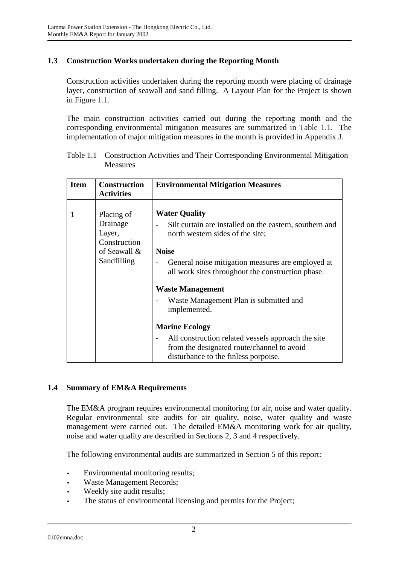### **1.3 Construction Works undertaken during the Reporting Month**

Construction activities undertaken during the reporting month were placing of drainage layer, construction of seawall and sand filling. A Layout Plan for the Project is shown in Figure 1.1.

The main construction activities carried out during the reporting month and the corresponding environmental mitigation measures are summarized in Table 1.1. The implementation of major mitigation measures in the month is provided in Appendix J.

| <b>Item</b> | <b>Construction</b><br><b>Activities</b>                                        | <b>Environmental Mitigation Measures</b>                                                                                                                                                                                                                                                                                           |
|-------------|---------------------------------------------------------------------------------|------------------------------------------------------------------------------------------------------------------------------------------------------------------------------------------------------------------------------------------------------------------------------------------------------------------------------------|
| 1           | Placing of<br>Drainage<br>Layer,<br>Construction<br>of Seawall &<br>Sandfilling | <b>Water Quality</b><br>Silt curtain are installed on the eastern, southern and<br>north western sides of the site;<br><b>Noise</b><br>General noise mitigation measures are employed at<br>all work sites throughout the construction phase.<br><b>Waste Management</b><br>Waste Management Plan is submitted and<br>implemented. |
|             |                                                                                 | <b>Marine Ecology</b><br>All construction related vessels approach the site<br>from the designated route/channel to avoid<br>disturbance to the finless porpoise.                                                                                                                                                                  |

Table 1.1 Construction Activities and Their Corresponding Environmental Mitigation Measures

## **1.4 Summary of EM&A Requirements**

The EM&A program requires environmental monitoring for air, noise and water quality. Regular environmental site audits for air quality, noise, water quality and waste management were carried out. The detailed EM&A monitoring work for air quality, noise and water quality are described in Sections 2, 3 and 4 respectively.

The following environmental audits are summarized in Section 5 of this report:

- Environmental monitoring results;
- Waste Management Records;
- Weekly site audit results;
- The status of environmental licensing and permits for the Project;

0102emna.doc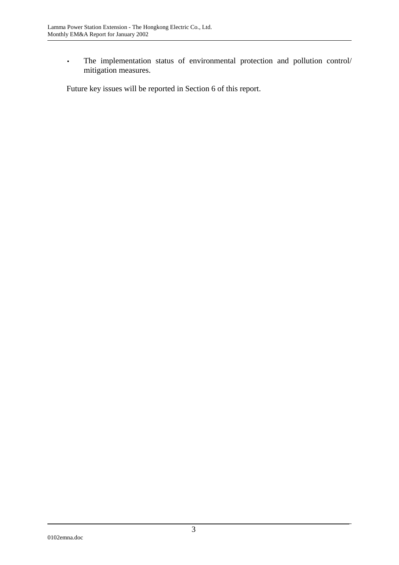• The implementation status of environmental protection and pollution control/ mitigation measures.

Future key issues will be reported in Section 6 of this report.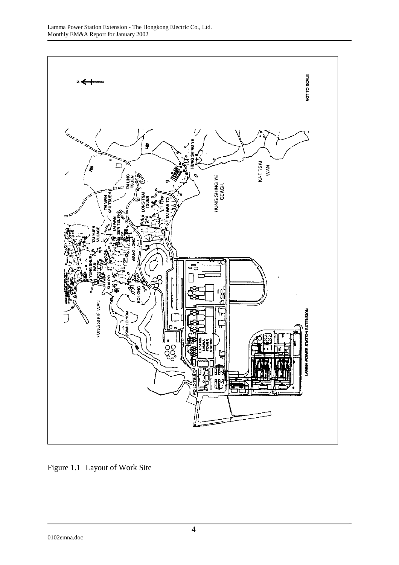

Figure 1.1 Layout of Work Site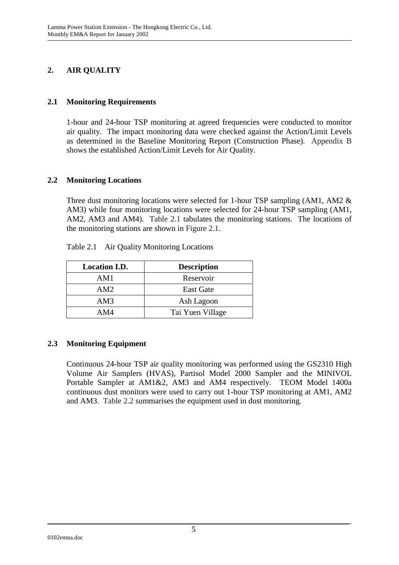# **2. AIR QUALITY**

#### **2.1 Monitoring Requirements**

1-hour and 24-hour TSP monitoring at agreed frequencies were conducted to monitor air quality. The impact monitoring data were checked against the Action/Limit Levels as determined in the Baseline Monitoring Report (Construction Phase). Appendix B shows the established Action/Limit Levels for Air Quality.

#### **2.2 Monitoring Locations**

Three dust monitoring locations were selected for 1-hour TSP sampling (AM1, AM2 & AM3) while four monitoring locations were selected for 24-hour TSP sampling (AM1, AM2, AM3 and AM4). Table 2.1 tabulates the monitoring stations. The locations of the monitoring stations are shown in Figure 2.1.

| <b>Location I.D.</b> | <b>Description</b> |
|----------------------|--------------------|
| AM1                  | Reservoir          |
| AM2                  | <b>East Gate</b>   |
| AM3                  | Ash Lagoon         |
| AM4                  | Tai Yuen Village   |

Table 2.1 Air Quality Monitoring Locations

## **2.3 Monitoring Equipment**

Continuous 24-hour TSP air quality monitoring was performed using the GS2310 High Volume Air Samplers (HVAS), Partisol Model 2000 Sampler and the MINIVOL Portable Sampler at AM1&2, AM3 and AM4 respectively. TEOM Model 1400a continuous dust monitors were used to carry out 1-hour TSP monitoring at AM1, AM2 and AM3. Table 2.2 summarises the equipment used in dust monitoring.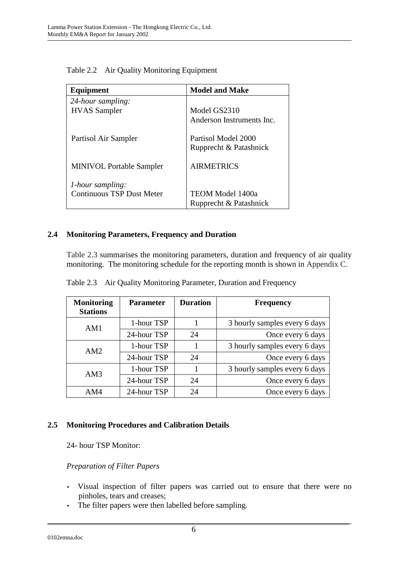| Equipment                        | <b>Model and Make</b>     |
|----------------------------------|---------------------------|
| 24-hour sampling:                |                           |
| <b>HVAS</b> Sampler              | Model GS2310              |
|                                  | Anderson Instruments Inc. |
| Partisol Air Sampler             | Partisol Model 2000       |
|                                  | Rupprecht & Patashnick    |
| <b>MINIVOL Portable Sampler</b>  | <b>AIRMETRICS</b>         |
| <i>l</i> -hour sampling:         |                           |
| <b>Continuous TSP Dust Meter</b> | TEOM Model 1400a          |
|                                  | Rupprecht & Patashnick    |

Table 2.2 Air Quality Monitoring Equipment

#### **2.4 Monitoring Parameters, Frequency and Duration**

Table 2.3 summarises the monitoring parameters, duration and frequency of air quality monitoring. The monitoring schedule for the reporting month is shown in Appendix C.

| <b>Monitoring</b><br><b>Stations</b> | <b>Parameter</b> | <b>Duration</b> | <b>Frequency</b>              |  |
|--------------------------------------|------------------|-----------------|-------------------------------|--|
| AM1                                  | 1-hour TSP       |                 | 3 hourly samples every 6 days |  |
|                                      | 24-hour TSP      | 24              | Once every 6 days             |  |
| AM2                                  | 1-hour TSP       |                 | 3 hourly samples every 6 days |  |
|                                      | 24-hour TSP      | 24              | Once every 6 days             |  |
| AM3                                  | 1-hour TSP       |                 | 3 hourly samples every 6 days |  |
|                                      | 24-hour TSP      | 24              | Once every 6 days             |  |
| AM4                                  | 24-hour TSP      | 24              | Once every 6 days             |  |

Table 2.3 Air Quality Monitoring Parameter, Duration and Frequency

#### **2.5 Monitoring Procedures and Calibration Details**

24- hour TSP Monitor:

#### *Preparation of Filter Papers*

- Visual inspection of filter papers was carried out to ensure that there were no pinholes, tears and creases;
- The filter papers were then labelled before sampling.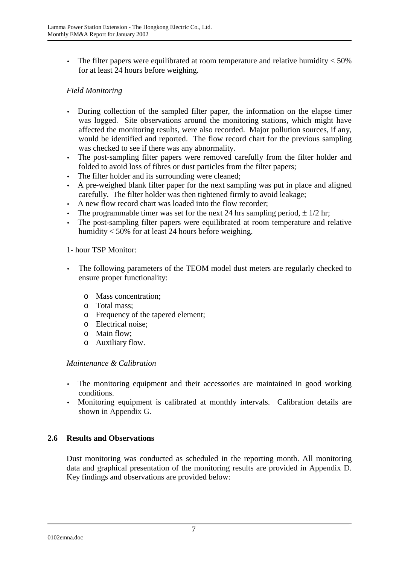• The filter papers were equilibrated at room temperature and relative humidity  $<$  50% for at least 24 hours before weighing.

## *Field Monitoring*

- During collection of the sampled filter paper, the information on the elapse timer was logged. Site observations around the monitoring stations, which might have affected the monitoring results, were also recorded. Major pollution sources, if any, would be identified and reported. The flow record chart for the previous sampling was checked to see if there was any abnormality.
- The post-sampling filter papers were removed carefully from the filter holder and folded to avoid loss of fibres or dust particles from the filter papers;
- The filter holder and its surrounding were cleaned;
- A pre-weighed blank filter paper for the next sampling was put in place and aligned carefully. The filter holder was then tightened firmly to avoid leakage;
- A new flow record chart was loaded into the flow recorder;
- The programmable timer was set for the next 24 hrs sampling period,  $\pm$  1/2 hr;
- The post-sampling filter papers were equilibrated at room temperature and relative humidity < 50% for at least 24 hours before weighing.

### 1- hour TSP Monitor:

- The following parameters of the TEOM model dust meters are regularly checked to ensure proper functionality:
	- o Mass concentration;
	- o Total mass;
	- o Frequency of the tapered element;
	- o Electrical noise;
	- o Main flow;
	- o Auxiliary flow.

#### *Maintenance & Calibration*

- The monitoring equipment and their accessories are maintained in good working conditions.
- Monitoring equipment is calibrated at monthly intervals. Calibration details are shown in Appendix G.

#### **2.6 Results and Observations**

Dust monitoring was conducted as scheduled in the reporting month. All monitoring data and graphical presentation of the monitoring results are provided in Appendix D. Key findings and observations are provided below: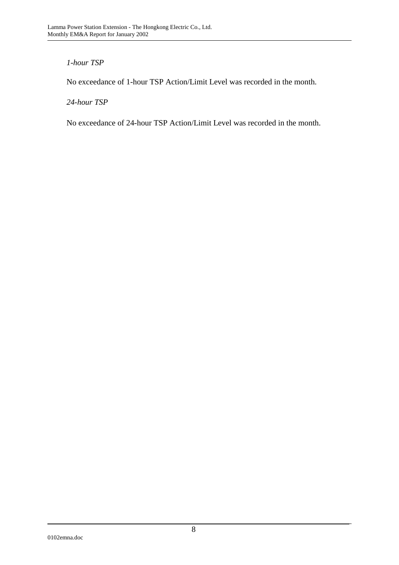### *1-hour TSP*

No exceedance of 1-hour TSP Action/Limit Level was recorded in the month.

#### *24-hour TSP*

No exceedance of 24-hour TSP Action/Limit Level was recorded in the month.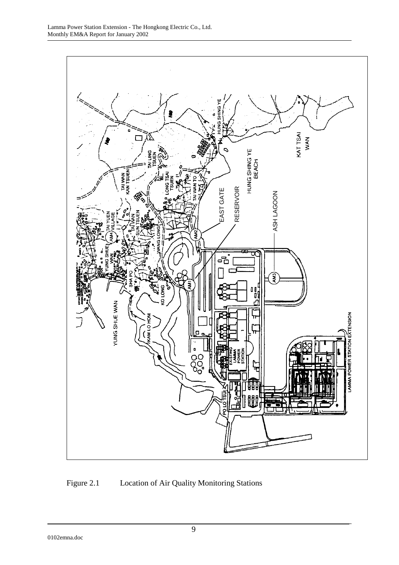

# Figure 2.1 Location of Air Quality Monitoring Stations

0102emna.doc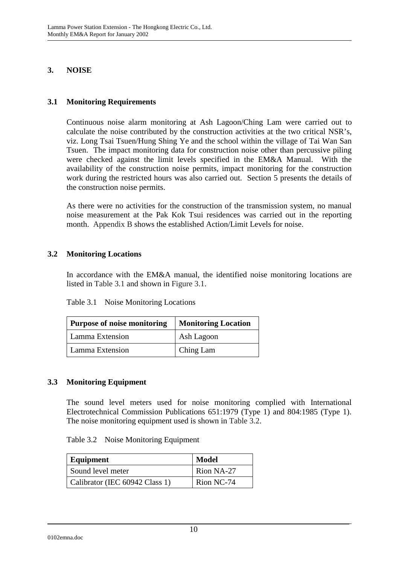#### **3. NOISE**

#### **3.1 Monitoring Requirements**

Continuous noise alarm monitoring at Ash Lagoon/Ching Lam were carried out to calculate the noise contributed by the construction activities at the two critical NSR's, viz. Long Tsai Tsuen/Hung Shing Ye and the school within the village of Tai Wan San Tsuen. The impact monitoring data for construction noise other than percussive piling were checked against the limit levels specified in the EM&A Manual. With the availability of the construction noise permits, impact monitoring for the construction work during the restricted hours was also carried out. Section 5 presents the details of the construction noise permits.

As there were no activities for the construction of the transmission system, no manual noise measurement at the Pak Kok Tsui residences was carried out in the reporting month. Appendix B shows the established Action/Limit Levels for noise.

#### **3.2 Monitoring Locations**

In accordance with the EM&A manual, the identified noise monitoring locations are listed in Table 3.1 and shown in Figure 3.1.

| <b>Purpose of noise monitoring</b> | <b>Monitoring Location</b> |  |
|------------------------------------|----------------------------|--|
| Lamma Extension                    | Ash Lagoon                 |  |
| Lamma Extension                    | Ching Lam                  |  |

#### **3.3 Monitoring Equipment**

The sound level meters used for noise monitoring complied with International Electrotechnical Commission Publications 651:1979 (Type 1) and 804:1985 (Type 1). The noise monitoring equipment used is shown in Table 3.2.

| Equipment                      | <b>Model</b> |  |
|--------------------------------|--------------|--|
| Sound level meter              | Rion NA-27   |  |
| Calibrator (IEC 60942 Class 1) | Rion NC-74   |  |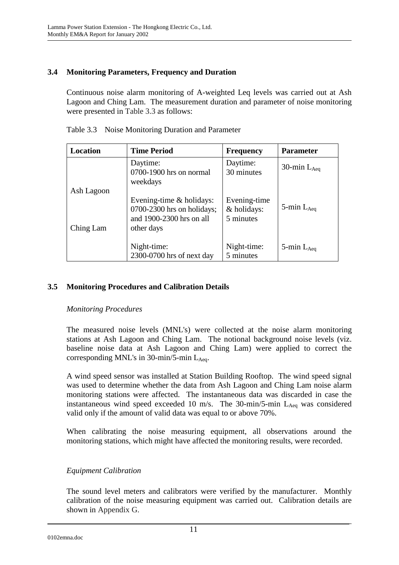## **3.4 Monitoring Parameters, Frequency and Duration**

Continuous noise alarm monitoring of A-weighted Leq levels was carried out at Ash Lagoon and Ching Lam. The measurement duration and parameter of noise monitoring were presented in Table 3.3 as follows:

| Location   | <b>Time Period</b>                                                                                   | <b>Frequency</b>                         | <b>Parameter</b>   |
|------------|------------------------------------------------------------------------------------------------------|------------------------------------------|--------------------|
|            | Daytime:<br>0700-1900 hrs on normal<br>weekdays                                                      | Daytime:<br>30 minutes                   | 30-min $L_{Aeq}$   |
| Ash Lagoon |                                                                                                      |                                          |                    |
| Ching Lam  | Evening-time $&$ holidays:<br>$0700-2300$ hrs on holidays;<br>and 1900-2300 hrs on all<br>other days | Evening-time<br>& holidays:<br>5 minutes | 5-min $L_{Aeq}$    |
|            | Night-time:<br>2300-0700 hrs of next day                                                             | Night-time:<br>5 minutes                 | $5$ -min $L_{Aea}$ |

Table 3.3 Noise Monitoring Duration and Parameter

### **3.5 Monitoring Procedures and Calibration Details**

#### *Monitoring Procedures*

The measured noise levels (MNL's) were collected at the noise alarm monitoring stations at Ash Lagoon and Ching Lam. The notional background noise levels (viz. baseline noise data at Ash Lagoon and Ching Lam) were applied to correct the corresponding MNL's in  $30$ -min/5-min L<sub>Aeq</sub>.

A wind speed sensor was installed at Station Building Rooftop. The wind speed signal was used to determine whether the data from Ash Lagoon and Ching Lam noise alarm monitoring stations were affected. The instantaneous data was discarded in case the instantaneous wind speed exceeded 10 m/s. The 30-min/5-min  $L_{Aeq}$  was considered valid only if the amount of valid data was equal to or above 70%.

When calibrating the noise measuring equipment, all observations around the monitoring stations, which might have affected the monitoring results, were recorded.

#### *Equipment Calibration*

The sound level meters and calibrators were verified by the manufacturer. Monthly calibration of the noise measuring equipment was carried out. Calibration details are shown in Appendix G.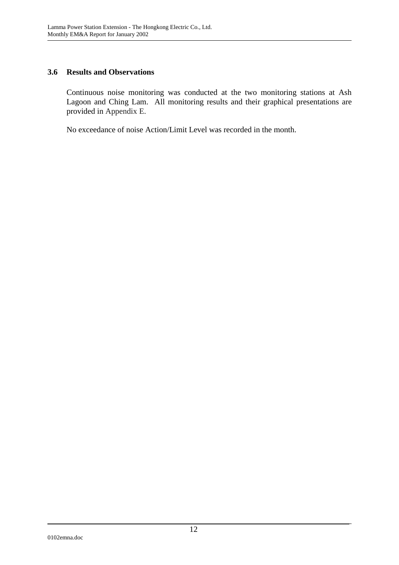#### **3.6 Results and Observations**

Continuous noise monitoring was conducted at the two monitoring stations at Ash Lagoon and Ching Lam. All monitoring results and their graphical presentations are provided in Appendix E.

No exceedance of noise Action/Limit Level was recorded in the month.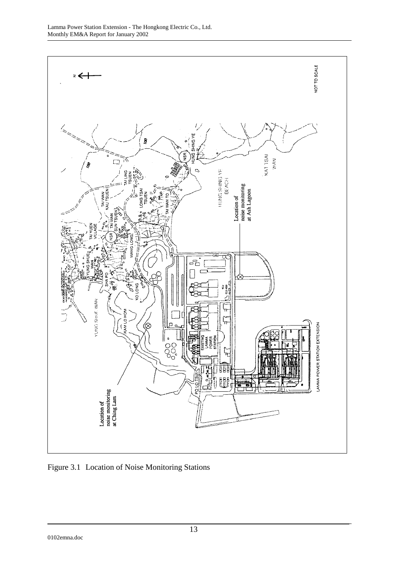

Figure 3.1 Location of Noise Monitoring Stations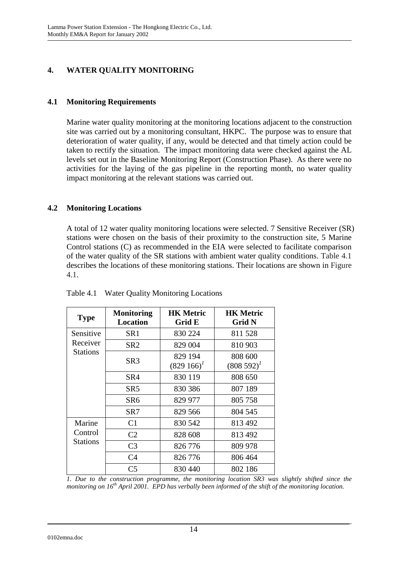# **4. WATER QUALITY MONITORING**

### **4.1 Monitoring Requirements**

Marine water quality monitoring at the monitoring locations adjacent to the construction site was carried out by a monitoring consultant, HKPC. The purpose was to ensure that deterioration of water quality, if any, would be detected and that timely action could be taken to rectify the situation. The impact monitoring data were checked against the AL levels set out in the Baseline Monitoring Report (Construction Phase). As there were no activities for the laying of the gas pipeline in the reporting month, no water quality impact monitoring at the relevant stations was carried out.

### **4.2 Monitoring Locations**

A total of 12 water quality monitoring locations were selected. 7 Sensitive Receiver (SR) stations were chosen on the basis of their proximity to the construction site, 5 Marine Control stations (C) as recommended in the EIA were selected to facilitate comparison of the water quality of the SR stations with ambient water quality conditions. Table 4.1 describes the locations of these monitoring stations. Their locations are shown in Figure 4.1.

| <b>Type</b>     | <b>Monitoring</b><br><b>Location</b> | <b>HK Metric</b><br>Grid E | <b>HK Metric</b><br>Grid N |
|-----------------|--------------------------------------|----------------------------|----------------------------|
| Sensitive       | SR <sub>1</sub>                      | 830 224                    | 811528                     |
| Receiver        | SR <sub>2</sub>                      | 829 004                    | 810 903                    |
| <b>Stations</b> | SR <sub>3</sub>                      | 829 194<br>$(829166)^T$    | 808 600<br>$(808592)^{1}$  |
|                 | SR4                                  | 830 119                    | 808 650                    |
|                 | SR5                                  | 830 386                    | 807 189                    |
|                 | SR <sub>6</sub>                      | 829 977                    | 805 758                    |
|                 | SR7                                  | 829 566                    | 804 545                    |
| Marine          | C <sub>1</sub>                       | 830 542                    | 813 492                    |
| Control         | C <sub>2</sub>                       | 828 608                    | 813 492                    |
| Stations        | C <sub>3</sub>                       | 826 776                    | 809 978                    |
|                 | C4                                   | 826 776                    | 806 464                    |
|                 | C <sub>5</sub>                       | 830 440                    | 802 186                    |

Table 4.1 Water Quality Monitoring Locations

*1. Due to the construction programme, the monitoring location SR3 was slightly shifted since the monitoring on 16th April 2001. EPD has verbally been informed of the shift of the monitoring location.*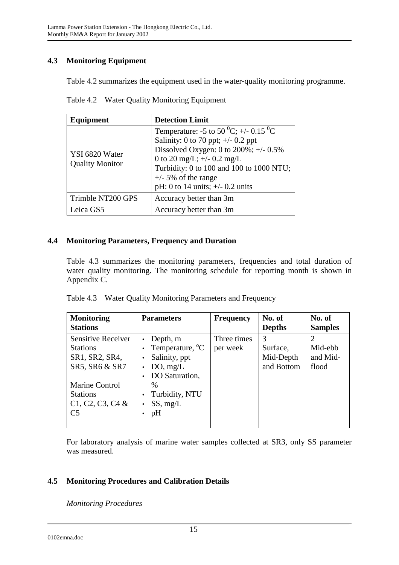# **4.3 Monitoring Equipment**

Table 4.2 summarizes the equipment used in the water-quality monitoring programme.

| Equipment                                | <b>Detection Limit</b>                                                                                                                                                                                                                                                                           |
|------------------------------------------|--------------------------------------------------------------------------------------------------------------------------------------------------------------------------------------------------------------------------------------------------------------------------------------------------|
| YSI 6820 Water<br><b>Quality Monitor</b> | Temperature: -5 to 50 <sup>0</sup> C; +/- 0.15 <sup>0</sup> C<br>Salinity: 0 to 70 ppt; $\pm$ /- 0.2 ppt<br>Dissolved Oxygen: 0 to $200\%$ ; +/- 0.5%<br>0 to 20 mg/L; $+/- 0.2$ mg/L<br>Turbidity: 0 to 100 and 100 to 1000 NTU;<br>$+/-$ 5% of the range<br>pH: 0 to 14 units; $+/- 0.2$ units |
| Trimble NT200 GPS                        | Accuracy better than 3m                                                                                                                                                                                                                                                                          |
| Leica GS5                                | Accuracy better than 3m                                                                                                                                                                                                                                                                          |

Table 4.2 Water Quality Monitoring Equipment

## **4.4 Monitoring Parameters, Frequency and Duration**

Table 4.3 summarizes the monitoring parameters, frequencies and total duration of water quality monitoring. The monitoring schedule for reporting month is shown in Appendix C.

|  | Table 4.3 Water Quality Monitoring Parameters and Frequency |  |
|--|-------------------------------------------------------------|--|
|  |                                                             |  |

| <b>Monitoring</b><br><b>Stations</b>                                             | <b>Parameters</b>                                                                      | <b>Frequency</b>        | No. of<br><b>Depths</b>                  | No. of<br><b>Samples</b>     |
|----------------------------------------------------------------------------------|----------------------------------------------------------------------------------------|-------------------------|------------------------------------------|------------------------------|
| Sensitive Receiver<br><b>Stations</b><br>SR1, SR2, SR4,<br>SR5, SR6 & SR7        | Depth, m<br>Temperature, <sup>o</sup> C<br>Salinity, ppt<br>DO, mg/L<br>DO Saturation, | Three times<br>per week | 3<br>Surface,<br>Mid-Depth<br>and Bottom | Mid-ebb<br>and Mid-<br>flood |
| <b>Marine Control</b><br><b>Stations</b><br>$C1, C2, C3, C4$ &<br>C <sub>5</sub> | $\frac{0}{0}$<br>Turbidity, NTU<br>SS, mg/L<br>pH                                      |                         |                                          |                              |

For laboratory analysis of marine water samples collected at SR3, only SS parameter was measured.

# **4.5 Monitoring Procedures and Calibration Details**

*Monitoring Procedures*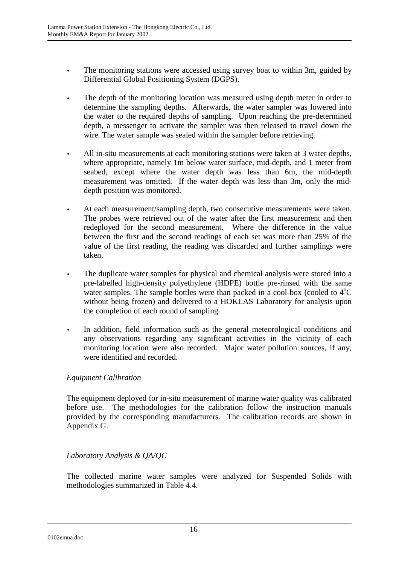- The monitoring stations were accessed using survey boat to within 3m, guided by Differential Global Positioning System (DGPS).
- The depth of the monitoring location was measured using depth meter in order to determine the sampling depths. Afterwards, the water sampler was lowered into the water to the required depths of sampling. Upon reaching the pre-determined depth, a messenger to activate the sampler was then released to travel down the wire. The water sample was sealed within the sampler before retrieving.
- All in-situ measurements at each monitoring stations were taken at 3 water depths, where appropriate, namely 1m below water surface, mid-depth, and 1 meter from seabed, except where the water depth was less than 6m, the mid-depth measurement was omitted. If the water depth was less than 3m, only the middepth position was monitored.
- At each measurement/sampling depth, two consecutive measurements were taken. The probes were retrieved out of the water after the first measurement and then redeployed for the second measurement. Where the difference in the value between the first and the second readings of each set was more than 25% of the value of the first reading, the reading was discarded and further samplings were taken.
- The duplicate water samples for physical and chemical analysis were stored into a pre-labelled high-density polyethylene (HDPE) bottle pre-rinsed with the same water samples. The sample bottles were than packed in a cool-box (cooled to  $4^{\circ}C$ without being frozen) and delivered to a HOKLAS Laboratory for analysis upon the completion of each round of sampling.
- In addition, field information such as the general meteorological conditions and any observations regarding any significant activities in the vicinity of each monitoring location were also recorded. Major water pollution sources, if any, were identified and recorded.

## *Equipment Calibration*

The equipment deployed for in-situ measurement of marine water quality was calibrated before use. The methodologies for the calibration follow the instruction manuals provided by the corresponding manufacturers. The calibration records are shown in Appendix G.

## *Laboratory Analysis & QA/QC*

The collected marine water samples were analyzed for Suspended Solids with methodologies summarized in Table 4.4.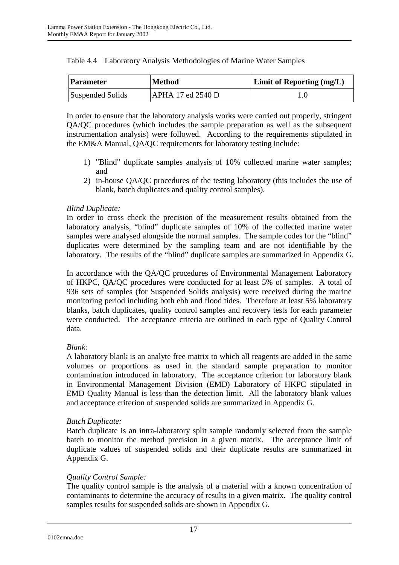| <b>Parameter</b> | <b>Method</b>            | <b>Limit of Reporting (mg/L)</b> |
|------------------|--------------------------|----------------------------------|
| Suspended Solids | <b>APHA 17 ed 2540 D</b> |                                  |

|  |  | Table 4.4 Laboratory Analysis Methodologies of Marine Water Samples |  |
|--|--|---------------------------------------------------------------------|--|
|--|--|---------------------------------------------------------------------|--|

In order to ensure that the laboratory analysis works were carried out properly, stringent QA/QC procedures (which includes the sample preparation as well as the subsequent instrumentation analysis) were followed. According to the requirements stipulated in the EM&A Manual, QA/QC requirements for laboratory testing include:

- 1) "Blind" duplicate samples analysis of 10% collected marine water samples; and
- 2) in-house QA/QC procedures of the testing laboratory (this includes the use of blank, batch duplicates and quality control samples).

## *Blind Duplicate:*

In order to cross check the precision of the measurement results obtained from the laboratory analysis, "blind" duplicate samples of 10% of the collected marine water samples were analysed alongside the normal samples. The sample codes for the "blind" duplicates were determined by the sampling team and are not identifiable by the laboratory. The results of the "blind" duplicate samples are summarized in Appendix G.

In accordance with the QA/QC procedures of Environmental Management Laboratory of HKPC, QA/QC procedures were conducted for at least 5% of samples. A total of 936 sets of samples (for Suspended Solids analysis) were received during the marine monitoring period including both ebb and flood tides. Therefore at least 5% laboratory blanks, batch duplicates, quality control samples and recovery tests for each parameter were conducted. The acceptance criteria are outlined in each type of Quality Control data.

## *Blank:*

A laboratory blank is an analyte free matrix to which all reagents are added in the same volumes or proportions as used in the standard sample preparation to monitor contamination introduced in laboratory. The acceptance criterion for laboratory blank in Environmental Management Division (EMD) Laboratory of HKPC stipulated in EMD Quality Manual is less than the detection limit. All the laboratory blank values and acceptance criterion of suspended solids are summarized in Appendix G.

## *Batch Duplicate:*

Batch duplicate is an intra-laboratory split sample randomly selected from the sample batch to monitor the method precision in a given matrix. The acceptance limit of duplicate values of suspended solids and their duplicate results are summarized in Appendix G.

## *Quality Control Sample:*

The quality control sample is the analysis of a material with a known concentration of contaminants to determine the accuracy of results in a given matrix. The quality control samples results for suspended solids are shown in Appendix G.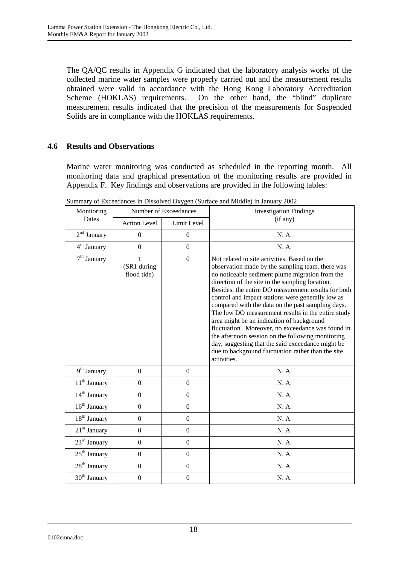The QA/QC results in Appendix G indicated that the laboratory analysis works of the collected marine water samples were properly carried out and the measurement results obtained were valid in accordance with the Hong Kong Laboratory Accreditation Scheme (HOKLAS) requirements. On the other hand, the "blind" duplicate measurement results indicated that the precision of the measurements for Suspended Solids are in compliance with the HOKLAS requirements.

#### **4.6 Results and Observations**

Marine water monitoring was conducted as scheduled in the reporting month. All monitoring data and graphical presentation of the monitoring results are provided in Appendix F. Key findings and observations are provided in the following tables:

| Monitoring               | Number of Exceedances           |                  | <b>Investigation Findings</b>                                                                                                                                                                                                                                                                                                                                                                                                                                                                                                                                                                                                                                                                                  |
|--------------------------|---------------------------------|------------------|----------------------------------------------------------------------------------------------------------------------------------------------------------------------------------------------------------------------------------------------------------------------------------------------------------------------------------------------------------------------------------------------------------------------------------------------------------------------------------------------------------------------------------------------------------------------------------------------------------------------------------------------------------------------------------------------------------------|
| Dates                    | <b>Action Level</b>             | Limit Level      | (if any)                                                                                                                                                                                                                                                                                                                                                                                                                                                                                                                                                                                                                                                                                                       |
| $2nd$ January            | $\boldsymbol{0}$                | $\boldsymbol{0}$ | N. A.                                                                                                                                                                                                                                                                                                                                                                                                                                                                                                                                                                                                                                                                                                          |
| 4 <sup>th</sup> January  | $\overline{0}$                  | $\mathbf{0}$     | N. A.                                                                                                                                                                                                                                                                                                                                                                                                                                                                                                                                                                                                                                                                                                          |
| $7th$ January            | 1<br>(SR1 during<br>flood tide) | $\Omega$         | Not related to site activities. Based on the<br>observation made by the sampling team, there was<br>no noticeable sediment plume migration from the<br>direction of the site to the sampling location.<br>Besides, the entire DO measurement results for both<br>control and impact stations were generally low as<br>compared with the data on the past sampling days.<br>The low DO measurement results in the entire study<br>area might be an indication of background<br>fluctuation. Moreover, no exceedance was found in<br>the afternoon session on the following monitoring<br>day, suggesting that the said exceedance might be<br>due to background fluctuation rather than the site<br>activities. |
| $9th$ January            | $\mathbf{0}$                    | $\mathbf{0}$     | N. A.                                                                                                                                                                                                                                                                                                                                                                                                                                                                                                                                                                                                                                                                                                          |
| 11 <sup>th</sup> January | $\boldsymbol{0}$                | $\boldsymbol{0}$ | N. A.                                                                                                                                                                                                                                                                                                                                                                                                                                                                                                                                                                                                                                                                                                          |
| $14th$ January           | $\mathbf{0}$                    | $\boldsymbol{0}$ | N. A.                                                                                                                                                                                                                                                                                                                                                                                                                                                                                                                                                                                                                                                                                                          |
| $16th$ January           | $\boldsymbol{0}$                | $\mathbf{0}$     | N. A.                                                                                                                                                                                                                                                                                                                                                                                                                                                                                                                                                                                                                                                                                                          |
| 18 <sup>th</sup> January | $\boldsymbol{0}$                | $\boldsymbol{0}$ | N. A.                                                                                                                                                                                                                                                                                                                                                                                                                                                                                                                                                                                                                                                                                                          |
| $21st$ January           | $\Omega$                        | $\boldsymbol{0}$ | N. A.                                                                                                                                                                                                                                                                                                                                                                                                                                                                                                                                                                                                                                                                                                          |
| $23rd$ January           | $\boldsymbol{0}$                | $\boldsymbol{0}$ | N. A.                                                                                                                                                                                                                                                                                                                                                                                                                                                                                                                                                                                                                                                                                                          |
| $25th$ January           | $\boldsymbol{0}$                | $\boldsymbol{0}$ | N. A.                                                                                                                                                                                                                                                                                                                                                                                                                                                                                                                                                                                                                                                                                                          |
| 28 <sup>th</sup> January | $\boldsymbol{0}$                | $\boldsymbol{0}$ | N. A.                                                                                                                                                                                                                                                                                                                                                                                                                                                                                                                                                                                                                                                                                                          |
| 30 <sup>th</sup> January | $\boldsymbol{0}$                | $\boldsymbol{0}$ | N. A.                                                                                                                                                                                                                                                                                                                                                                                                                                                                                                                                                                                                                                                                                                          |

Summary of Exceedances in Dissolved Oxygen (Surface and Middle) in January 2002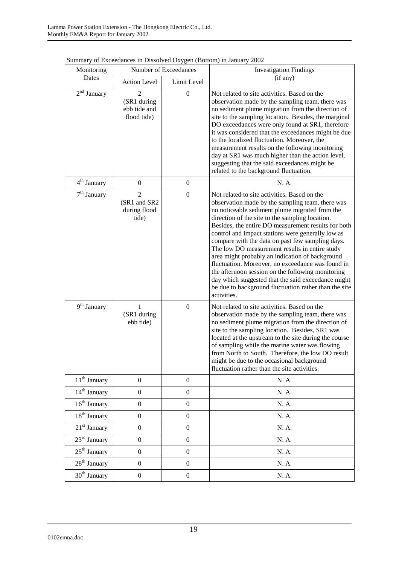| Monitoring               | Number of Exceedances                                   |                  | <b>Investigation Findings</b>                                                                                                                                                                                                                                                                                                                                                                                                                                                                                                                                                                                                                                                                                      |
|--------------------------|---------------------------------------------------------|------------------|--------------------------------------------------------------------------------------------------------------------------------------------------------------------------------------------------------------------------------------------------------------------------------------------------------------------------------------------------------------------------------------------------------------------------------------------------------------------------------------------------------------------------------------------------------------------------------------------------------------------------------------------------------------------------------------------------------------------|
| Dates                    | <b>Action Level</b>                                     | Limit Level      | (if any)                                                                                                                                                                                                                                                                                                                                                                                                                                                                                                                                                                                                                                                                                                           |
| $2nd$ January            | 2<br>(SR1 during<br>ebb tide and<br>flood tide)         | $\boldsymbol{0}$ | Not related to site activities. Based on the<br>observation made by the sampling team, there was<br>no sediment plume migration from the direction of<br>site to the sampling location. Besides, the marginal<br>DO exceedances were only found at SR1, therefore<br>it was considered that the exceedances might be due<br>to the localized fluctuation. Moreover, the<br>measurement results on the following monitoring<br>day at SR1 was much higher than the action level,<br>suggesting that the said exceedances might be<br>related to the background fluctuation.                                                                                                                                         |
| $4^{\text{th}}$ January  | $\boldsymbol{0}$                                        | $\boldsymbol{0}$ | N. A.                                                                                                                                                                                                                                                                                                                                                                                                                                                                                                                                                                                                                                                                                                              |
| $7th$ January            | $\overline{2}$<br>(SR1 and SR2<br>during flood<br>tide) | $\boldsymbol{0}$ | Not related to site activities. Based on the<br>observation made by the sampling team, there was<br>no noticeable sediment plume migrated from the<br>direction of the site to the sampling location.<br>Besides, the entire DO measurement results for both<br>control and impact stations were generally low as<br>compare with the data on past few sampling days.<br>The low DO measurement results in entire study<br>area might probably an indication of background<br>fluctuation. Moreover, no exceedance was found in<br>the afternoon session on the following monitoring<br>day which suggested that the said exceedance might<br>be due to background fluctuation rather than the site<br>activities. |
| 9 <sup>th</sup> January  | 1<br>(SR1 during<br>ebb tide)                           | $\boldsymbol{0}$ | Not related to site activities. Based on the<br>observation made by the sampling team, there was<br>no sediment plume migration from the direction of<br>site to the sampling location. Besides, SR1 was<br>located at the upstream to the site during the course<br>of sampling while the marine water was flowing<br>from North to South. Therefore, the low DO result<br>might be due to the occasional background<br>fluctuation rather than the site activities.                                                                                                                                                                                                                                              |
| 11 <sup>th</sup> January | $\boldsymbol{0}$                                        | $\boldsymbol{0}$ | N. A.                                                                                                                                                                                                                                                                                                                                                                                                                                                                                                                                                                                                                                                                                                              |
| 14 <sup>th</sup> January | $\boldsymbol{0}$                                        | $\overline{0}$   | N. A.                                                                                                                                                                                                                                                                                                                                                                                                                                                                                                                                                                                                                                                                                                              |
| $16th$ January           | $\boldsymbol{0}$                                        | $\boldsymbol{0}$ | N. A.                                                                                                                                                                                                                                                                                                                                                                                                                                                                                                                                                                                                                                                                                                              |
| 18 <sup>th</sup> January | $\boldsymbol{0}$                                        | $\boldsymbol{0}$ | N. A.                                                                                                                                                                                                                                                                                                                                                                                                                                                                                                                                                                                                                                                                                                              |
| $21st$ January           | $\boldsymbol{0}$                                        | $\boldsymbol{0}$ | N. A.                                                                                                                                                                                                                                                                                                                                                                                                                                                                                                                                                                                                                                                                                                              |
| $23rd$ January           | $\boldsymbol{0}$                                        | $\overline{0}$   | N. A.                                                                                                                                                                                                                                                                                                                                                                                                                                                                                                                                                                                                                                                                                                              |
| $25th$ January           | $\boldsymbol{0}$                                        | $\boldsymbol{0}$ | N. A.                                                                                                                                                                                                                                                                                                                                                                                                                                                                                                                                                                                                                                                                                                              |
| $28th$ January           | $\boldsymbol{0}$                                        | $\overline{0}$   | N. A.                                                                                                                                                                                                                                                                                                                                                                                                                                                                                                                                                                                                                                                                                                              |
| $30th$ January           | $\boldsymbol{0}$                                        | $\boldsymbol{0}$ | N. A.                                                                                                                                                                                                                                                                                                                                                                                                                                                                                                                                                                                                                                                                                                              |

Summary of Exceedances in Dissolved Oxygen (Bottom) in January 2002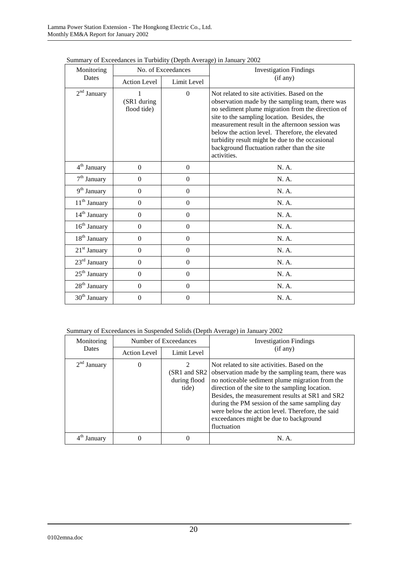| No. of Exceedances<br>Monitoring |                            |                  | <b>Investigation Findings</b>                                                                                                                                                                                                                                                                                                                                                                                               |
|----------------------------------|----------------------------|------------------|-----------------------------------------------------------------------------------------------------------------------------------------------------------------------------------------------------------------------------------------------------------------------------------------------------------------------------------------------------------------------------------------------------------------------------|
| Dates                            | <b>Action Level</b>        | Limit Level      | (if any)                                                                                                                                                                                                                                                                                                                                                                                                                    |
| $2nd$ January                    | (SR1 during<br>flood tide) | $\theta$         | Not related to site activities. Based on the<br>observation made by the sampling team, there was<br>no sediment plume migration from the direction of<br>site to the sampling location. Besides, the<br>measurement result in the afternoon session was<br>below the action level. Therefore, the elevated<br>turbidity result might be due to the occasional<br>background fluctuation rather than the site<br>activities. |
| 4 <sup>th</sup> January          | $\overline{0}$             | $\boldsymbol{0}$ | N. A.                                                                                                                                                                                                                                                                                                                                                                                                                       |
| $7th$ January                    | $\overline{0}$             | $\boldsymbol{0}$ | N. A.                                                                                                                                                                                                                                                                                                                                                                                                                       |
| 9 <sup>th</sup> January          | $\boldsymbol{0}$           | $\boldsymbol{0}$ | N. A.                                                                                                                                                                                                                                                                                                                                                                                                                       |
| 11 <sup>th</sup> January         | $\Omega$                   | $\mathbf{0}$     | N. A.                                                                                                                                                                                                                                                                                                                                                                                                                       |
| 14 <sup>th</sup> January         | $\overline{0}$             | $\boldsymbol{0}$ | N. A.                                                                                                                                                                                                                                                                                                                                                                                                                       |
| 16 <sup>th</sup> January         | $\Omega$                   | $\Omega$         | N. A.                                                                                                                                                                                                                                                                                                                                                                                                                       |
| $18th$ January                   | $\Omega$                   | $\mathbf{0}$     | N. A.                                                                                                                                                                                                                                                                                                                                                                                                                       |
| $21st$ January                   | $\overline{0}$             | $\boldsymbol{0}$ | N. A.                                                                                                                                                                                                                                                                                                                                                                                                                       |
| $23rd$ January                   | $\Omega$                   | $\overline{0}$   | N. A.                                                                                                                                                                                                                                                                                                                                                                                                                       |
| $25th$ January                   | $\overline{0}$             | $\boldsymbol{0}$ | N. A.                                                                                                                                                                                                                                                                                                                                                                                                                       |
| 28 <sup>th</sup> January         | $\Omega$                   | $\mathbf{0}$     | N. A.                                                                                                                                                                                                                                                                                                                                                                                                                       |
| 30 <sup>th</sup> January         | $\Omega$                   | $\mathbf{0}$     | N. A.                                                                                                                                                                                                                                                                                                                                                                                                                       |

Summary of Exceedances in Turbidity (Depth Average) in January 2002

| Summary of Exceedances in Suspended Solids (Depth Average) in January 2002 |  |  |
|----------------------------------------------------------------------------|--|--|
|                                                                            |  |  |

| Monitoring<br><b>Dates</b> | Number of Exceedances |                                         | <b>Investigation Findings</b>                                                                                                                                                                                                                                                                                                                                                                                                         |
|----------------------------|-----------------------|-----------------------------------------|---------------------------------------------------------------------------------------------------------------------------------------------------------------------------------------------------------------------------------------------------------------------------------------------------------------------------------------------------------------------------------------------------------------------------------------|
|                            | <b>Action Level</b>   | Limit Level                             | (if any)                                                                                                                                                                                                                                                                                                                                                                                                                              |
| $2nd$ January              | $\theta$              | $\mathfrak{D}$<br>during flood<br>tide) | Not related to site activities. Based on the<br>(SR1 and SR2 observation made by the sampling team, there was<br>no noticeable sediment plume migration from the<br>direction of the site to the sampling location.<br>Besides, the measurement results at SR1 and SR2<br>during the PM session of the same sampling day<br>were below the action level. Therefore, the said<br>exceedances might be due to background<br>fluctuation |
| Januarv                    |                       |                                         | N. A.                                                                                                                                                                                                                                                                                                                                                                                                                                 |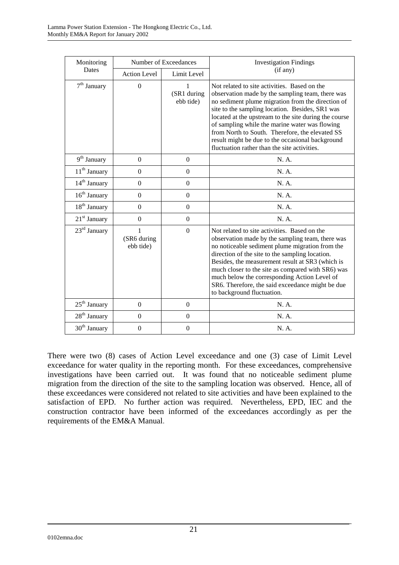| Monitoring               | Number of Exceedances         |                               | <b>Investigation Findings</b>                                                                                                                                                                                                                                                                                                                                                                                                                                              |
|--------------------------|-------------------------------|-------------------------------|----------------------------------------------------------------------------------------------------------------------------------------------------------------------------------------------------------------------------------------------------------------------------------------------------------------------------------------------------------------------------------------------------------------------------------------------------------------------------|
| Dates                    | <b>Action Level</b>           | Limit Level                   | (if any)                                                                                                                                                                                                                                                                                                                                                                                                                                                                   |
| $7th$ January            | $\Omega$                      | 1<br>(SR1 during<br>ebb tide) | Not related to site activities. Based on the<br>observation made by the sampling team, there was<br>no sediment plume migration from the direction of<br>site to the sampling location. Besides, SR1 was<br>located at the upstream to the site during the course<br>of sampling while the marine water was flowing<br>from North to South. Therefore, the elevated SS<br>result might be due to the occasional background<br>fluctuation rather than the site activities. |
| $9th$ January            | $\mathbf{0}$                  | $\boldsymbol{0}$              | N. A.                                                                                                                                                                                                                                                                                                                                                                                                                                                                      |
| 11 <sup>th</sup> January | $\boldsymbol{0}$              | $\boldsymbol{0}$              | N. A.                                                                                                                                                                                                                                                                                                                                                                                                                                                                      |
| $14th$ January           | $\Omega$                      | $\boldsymbol{0}$              | N. A.                                                                                                                                                                                                                                                                                                                                                                                                                                                                      |
| $16th$ January           | $\boldsymbol{0}$              | $\mathbf{0}$                  | N. A.                                                                                                                                                                                                                                                                                                                                                                                                                                                                      |
| $18th$ January           | $\Omega$                      | $\theta$                      | N. A.                                                                                                                                                                                                                                                                                                                                                                                                                                                                      |
| $21st$ January           | $\mathbf{0}$                  | $\overline{0}$                | N. A.                                                                                                                                                                                                                                                                                                                                                                                                                                                                      |
| $23rd$ January           | 1<br>(SR6 during<br>ebb tide) | $\Omega$                      | Not related to site activities. Based on the<br>observation made by the sampling team, there was<br>no noticeable sediment plume migration from the<br>direction of the site to the sampling location.<br>Besides, the measurement result at SR3 (which is<br>much closer to the site as compared with SR6) was<br>much below the corresponding Action Level of<br>SR6. Therefore, the said exceedance might be due<br>to background fluctuation.                          |
| 25 <sup>th</sup> January | $\Omega$                      | $\boldsymbol{0}$              | N. A.                                                                                                                                                                                                                                                                                                                                                                                                                                                                      |
| 28 <sup>th</sup> January | $\boldsymbol{0}$              | $\boldsymbol{0}$              | N. A.                                                                                                                                                                                                                                                                                                                                                                                                                                                                      |
| $30th$ January           | $\mathbf{0}$                  | $\boldsymbol{0}$              | N. A.                                                                                                                                                                                                                                                                                                                                                                                                                                                                      |

There were two (8) cases of Action Level exceedance and one (3) case of Limit Level exceedance for water quality in the reporting month. For these exceedances, comprehensive investigations have been carried out. It was found that no noticeable sediment plume migration from the direction of the site to the sampling location was observed. Hence, all of these exceedances were considered not related to site activities and have been explained to the satisfaction of EPD. No further action was required. Nevertheless, EPD, IEC and the construction contractor have been informed of the exceedances accordingly as per the requirements of the EM&A Manual.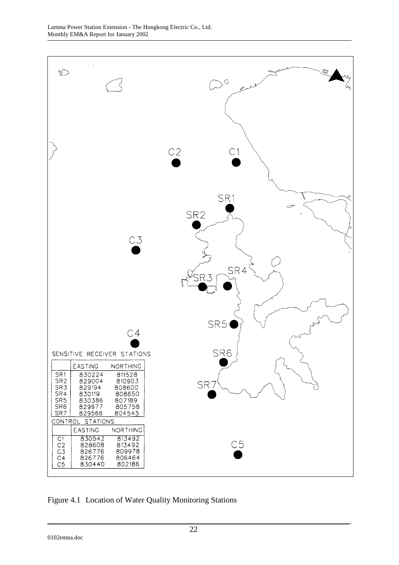

Figure 4.1 Location of Water Quality Monitoring Stations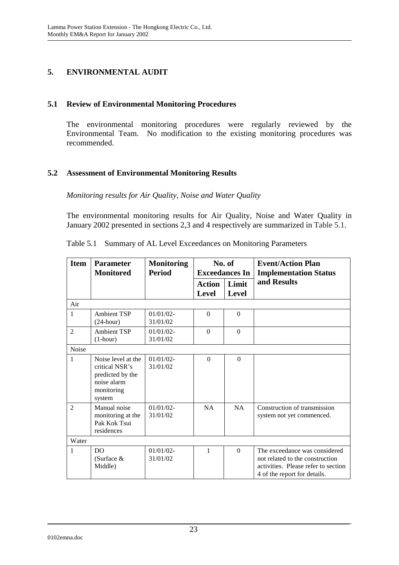# **5. ENVIRONMENTAL AUDIT**

#### **5.1 Review of Environmental Monitoring Procedures**

The environmental monitoring procedures were regularly reviewed by the Environmental Team. No modification to the existing monitoring procedures was recommended.

### **5.2 Assessment of Environmental Monitoring Results**

*Monitoring results for Air Quality, Noise and Water Quality* 

The environmental monitoring results for Air Quality, Noise and Water Quality in January 2002 presented in sections 2,3 and 4 respectively are summarized in Table 5.1.

| <b>Item</b>    | <b>Parameter</b><br><b>Monitored</b>                                                            | <b>Monitoring</b><br><b>Period</b> | No. of<br><b>Exceedances In</b> |                       | <b>Event/Action Plan</b><br><b>Implementation Status</b>                                                                                |  |
|----------------|-------------------------------------------------------------------------------------------------|------------------------------------|---------------------------------|-----------------------|-----------------------------------------------------------------------------------------------------------------------------------------|--|
|                |                                                                                                 |                                    | <b>Action</b><br><b>Level</b>   | Limit<br><b>Level</b> | and Results                                                                                                                             |  |
| Air            |                                                                                                 |                                    |                                 |                       |                                                                                                                                         |  |
| $\mathbf{1}$   | <b>Ambient TSP</b><br>$(24$ -hour)                                                              | $01/01/02$ -<br>31/01/02           | $\Omega$                        | $\Omega$              |                                                                                                                                         |  |
| $\mathfrak{D}$ | <b>Ambient TSP</b><br>$(1-hour)$                                                                | $01/01/02 -$<br>31/01/02           | $\Omega$                        | $\Omega$              |                                                                                                                                         |  |
| Noise          |                                                                                                 |                                    |                                 |                       |                                                                                                                                         |  |
| 1              | Noise level at the<br>critical NSR's<br>predicted by the<br>noise alarm<br>monitoring<br>system | $01/01/02$ -<br>31/01/02           | $\Omega$                        | $\Omega$              |                                                                                                                                         |  |
| $\mathfrak{D}$ | Manual noise<br>monitoring at the<br>Pak Kok Tsui<br>residences                                 | 01/01/02<br>31/01/02               | NA                              | NA                    | Construction of transmission<br>system not yet commenced.                                                                               |  |
| Water          |                                                                                                 |                                    |                                 |                       |                                                                                                                                         |  |
| 1              | DO<br>(Surface $&$<br>Middle)                                                                   | $01/01/02$ -<br>31/01/02           | 1                               | $\Omega$              | The exceedance was considered<br>not related to the construction<br>activities. Please refer to section<br>4 of the report for details. |  |

Table 5.1 Summary of AL Level Exceedances on Monitoring Parameters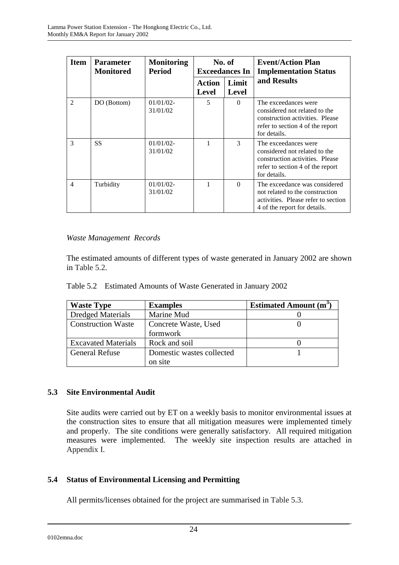| <b>Item</b>    | <b>Parameter</b><br><b>Monitored</b> | <b>Monitoring</b><br><b>Period</b> | No. of<br><b>Exceedances In</b> |                       | <b>Event/Action Plan</b><br><b>Implementation Status</b>                                                                                     |
|----------------|--------------------------------------|------------------------------------|---------------------------------|-----------------------|----------------------------------------------------------------------------------------------------------------------------------------------|
|                |                                      |                                    | Action<br><b>Level</b>          | Limit<br><b>Level</b> | and Results                                                                                                                                  |
| $\mathfrak{D}$ | DO (Bottom)                          | $01/01/02$ -<br>31/01/02           | 5                               | $\Omega$              | The exceedances were<br>considered not related to the<br>construction activities. Please<br>refer to section 4 of the report<br>for details. |
| 3              | <b>SS</b>                            | $01/01/02$ -<br>31/01/02           |                                 | 3                     | The exceedances were<br>considered not related to the<br>construction activities. Please<br>refer to section 4 of the report<br>for details. |
| 4              | Turbidity                            | $01/01/02$ -<br>31/01/02           |                                 | $\Omega$              | The exceedance was considered<br>not related to the construction<br>activities. Please refer to section<br>4 of the report for details.      |

### *Waste Management Records*

The estimated amounts of different types of waste generated in January 2002 are shown in Table 5.2.

|  | Table 5.2 Estimated Amounts of Waste Generated in January 2002 |  |  |  |
|--|----------------------------------------------------------------|--|--|--|
|--|----------------------------------------------------------------|--|--|--|

| <b>Waste Type</b>          | <b>Examples</b>           | Estimated Amount $(m^3)$ |
|----------------------------|---------------------------|--------------------------|
| <b>Dredged Materials</b>   | Marine Mud                |                          |
| <b>Construction Waste</b>  | Concrete Waste, Used      |                          |
|                            | formwork                  |                          |
| <b>Excavated Materials</b> | Rock and soil             |                          |
| <b>General Refuse</b>      | Domestic wastes collected |                          |
|                            | on site                   |                          |

## **5.3 Site Environmental Audit**

Site audits were carried out by ET on a weekly basis to monitor environmental issues at the construction sites to ensure that all mitigation measures were implemented timely and properly. The site conditions were generally satisfactory. All required mitigation measures were implemented. The weekly site inspection results are attached in Appendix I.

## **5.4 Status of Environmental Licensing and Permitting**

All permits/licenses obtained for the project are summarised in Table 5.3.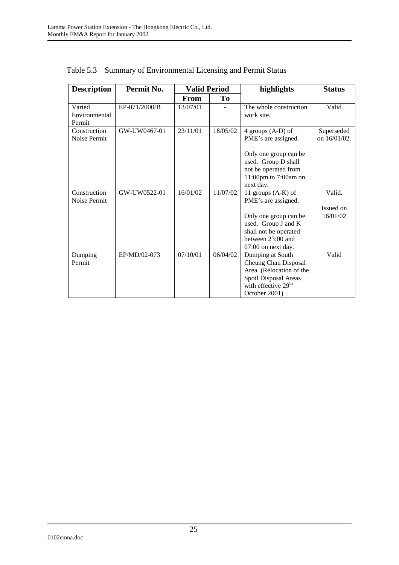| <b>Description</b> | Permit No.    | <b>Valid Period</b> |          | highlights                                                                                   | <b>Status</b> |
|--------------------|---------------|---------------------|----------|----------------------------------------------------------------------------------------------|---------------|
|                    |               | <b>From</b>         | To       |                                                                                              |               |
| Varied             | EP-071/2000/B | 13/07/01            |          | The whole construction                                                                       | Valid         |
| Environmental      |               |                     |          | work site.                                                                                   |               |
| Permit             |               |                     |          |                                                                                              |               |
| Construction       | GW-UW0467-01  | 23/11/01            | 18/05/02 | 4 groups $(A-D)$ of                                                                          | Superseded    |
| Noise Permit       |               |                     |          | PME's are assigned.                                                                          | on 16/01/02.  |
|                    |               |                     |          | Only one group can be<br>used. Group D shall<br>not be operated from<br>11:00pm to 7:00am on |               |
| Construction       |               |                     |          | next day.                                                                                    |               |
| Noise Permit       | GW-UW0522-01  | 16/01/02            | 11/07/02 | 11 groups $(A-K)$ of<br>PME's are assigned.                                                  | Valid.        |
|                    |               |                     |          |                                                                                              | Issued on     |
|                    |               |                     |          | Only one group can be                                                                        | 16/01/02      |
|                    |               |                     |          | used. Group J and K                                                                          |               |
|                    |               |                     |          | shall not be operated                                                                        |               |
|                    |               |                     |          | between 23:00 and                                                                            |               |
|                    |               |                     |          | 07:00 on next day.                                                                           |               |
| Dumping            | EP/MD/02-073  | 07/10/01            | 06/04/02 | Dumping at South                                                                             | Valid         |
| Permit             |               |                     |          | Cheung Chau Disposal                                                                         |               |
|                    |               |                     |          | Area (Relocation of the                                                                      |               |
|                    |               |                     |          | Spoil Disposal Areas                                                                         |               |
|                    |               |                     |          | with effective 29 <sup>th</sup>                                                              |               |
|                    |               |                     |          | October 2001)                                                                                |               |

Table 5.3 Summary of Environmental Licensing and Permit Status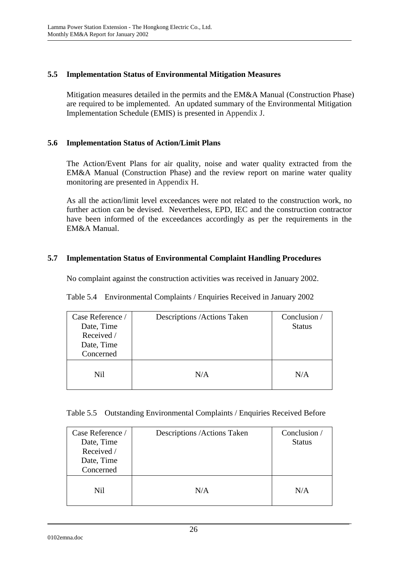### **5.5 Implementation Status of Environmental Mitigation Measures**

Mitigation measures detailed in the permits and the EM&A Manual (Construction Phase) are required to be implemented. An updated summary of the Environmental Mitigation Implementation Schedule (EMIS) is presented in Appendix J.

#### **5.6 Implementation Status of Action/Limit Plans**

The Action/Event Plans for air quality, noise and water quality extracted from the EM&A Manual (Construction Phase) and the review report on marine water quality monitoring are presented in Appendix H.

As all the action/limit level exceedances were not related to the construction work, no further action can be devised. Nevertheless, EPD, IEC and the construction contractor have been informed of the exceedances accordingly as per the requirements in the EM&A Manual.

## **5.7 Implementation Status of Environmental Complaint Handling Procedures**

No complaint against the construction activities was received in January 2002.

| Table 5.4 Environmental Complaints / Enquiries Received in January 2002 |  |  |
|-------------------------------------------------------------------------|--|--|
|                                                                         |  |  |

| Case Reference /<br>Date, Time<br>Received /<br>Date, Time<br>Concerned | Descriptions / Actions Taken | Conclusion /<br><b>Status</b> |
|-------------------------------------------------------------------------|------------------------------|-------------------------------|
| Nil                                                                     | N/A                          | N/A                           |

|  | Table 5.5 Outstanding Environmental Complaints / Enquiries Received Before |  |  |
|--|----------------------------------------------------------------------------|--|--|
|  |                                                                            |  |  |

| Case Reference /<br>Date, Time<br>Received /<br>Date, Time<br>Concerned | Descriptions / Actions Taken | Conclusion /<br><b>Status</b> |
|-------------------------------------------------------------------------|------------------------------|-------------------------------|
| Nil.                                                                    | N/A                          | N/A                           |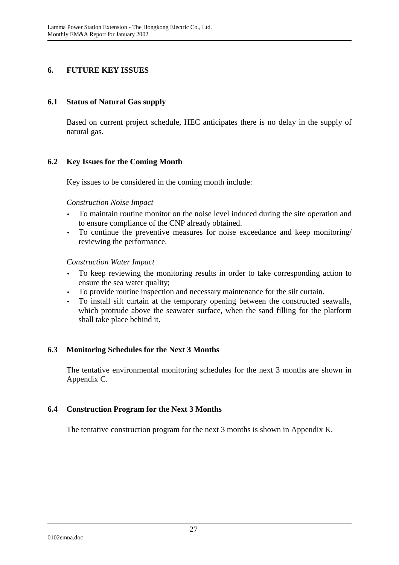### **6. FUTURE KEY ISSUES**

#### **6.1 Status of Natural Gas supply**

Based on current project schedule, HEC anticipates there is no delay in the supply of natural gas.

#### **6.2 Key Issues for the Coming Month**

Key issues to be considered in the coming month include:

#### *Construction Noise Impact*

- To maintain routine monitor on the noise level induced during the site operation and to ensure compliance of the CNP already obtained.
- To continue the preventive measures for noise exceedance and keep monitoring/ reviewing the performance.

#### *Construction Water Impact*

- To keep reviewing the monitoring results in order to take corresponding action to ensure the sea water quality;
- To provide routine inspection and necessary maintenance for the silt curtain.
- To install silt curtain at the temporary opening between the constructed seawalls, which protrude above the seawater surface, when the sand filling for the platform shall take place behind it.

#### **6.3 Monitoring Schedules for the Next 3 Months**

The tentative environmental monitoring schedules for the next 3 months are shown in Appendix C.

#### **6.4 Construction Program for the Next 3 Months**

The tentative construction program for the next 3 months is shown in Appendix K.